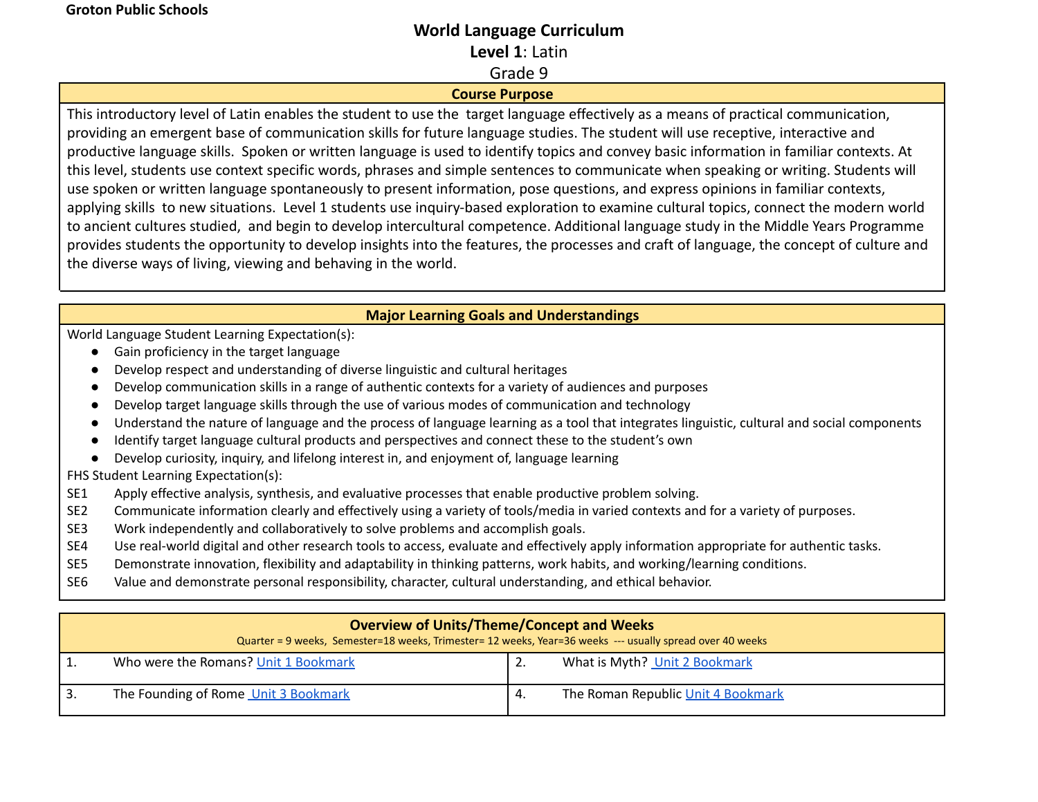# **World Language Curriculum Level 1**: Latin Grade 9

## **Course Purpose**

This introductory level of Latin enables the student to use the target language effectively as a means of practical communication, providing an emergent base of communication skills for future language studies. The student will use receptive, interactive and productive language skills. Spoken or written language is used to identify topics and convey basic information in familiar contexts. At this level, students use context specific words, phrases and simple sentences to communicate when speaking or writing. Students will use spoken or written language spontaneously to present information, pose questions, and express opinions in familiar contexts, applying skills to new situations. Level 1 students use inquiry-based exploration to examine cultural topics, connect the modern world to ancient cultures studied, and begin to develop intercultural competence. Additional language study in the Middle Years Programme provides students the opportunity to develop insights into the features, the processes and craft of language, the concept of culture and the diverse ways of living, viewing and behaving in the world.

## **Major Learning Goals and Understandings**

World Language Student Learning Expectation(s):

- Gain proficiency in the target language
- Develop respect and understanding of diverse linguistic and cultural heritages
- Develop communication skills in a range of authentic contexts for a variety of audiences and purposes
- Develop target language skills through the use of various modes of communication and technology
- Understand the nature of language and the process of language learning as a tool that integrates linguistic, cultural and social components
- Identify target language cultural products and perspectives and connect these to the student's own
- Develop curiosity, inquiry, and lifelong interest in, and enjoyment of, language learning

FHS Student Learning Expectation(s):

- SE1 Apply effective analysis, synthesis, and evaluative processes that enable productive problem solving.
- SE2 Communicate information clearly and effectively using a variety of tools/media in varied contexts and for a variety of purposes.
- SE3 Work independently and collaboratively to solve problems and accomplish goals.
- SE4 Use real-world digital and other research tools to access, evaluate and effectively apply information appropriate for authentic tasks.
- SE5 Demonstrate innovation, flexibility and adaptability in thinking patterns, work habits, and working/learning conditions.
- SE6 Value and demonstrate personal responsibility, character, cultural understanding, and ethical behavior.

|      | <b>Overview of Units/Theme/Concept and Weeks</b><br>Quarter = 9 weeks, Semester=18 weeks, Trimester= 12 weeks, Year=36 weeks --- usually spread over 40 weeks |    |                                    |  |
|------|---------------------------------------------------------------------------------------------------------------------------------------------------------------|----|------------------------------------|--|
|      | Who were the Romans? Unit 1 Bookmark                                                                                                                          |    | What is Myth? Unit 2 Bookmark      |  |
| ' 3. | The Founding of Rome Unit 3 Bookmark                                                                                                                          | 4. | The Roman Republic Unit 4 Bookmark |  |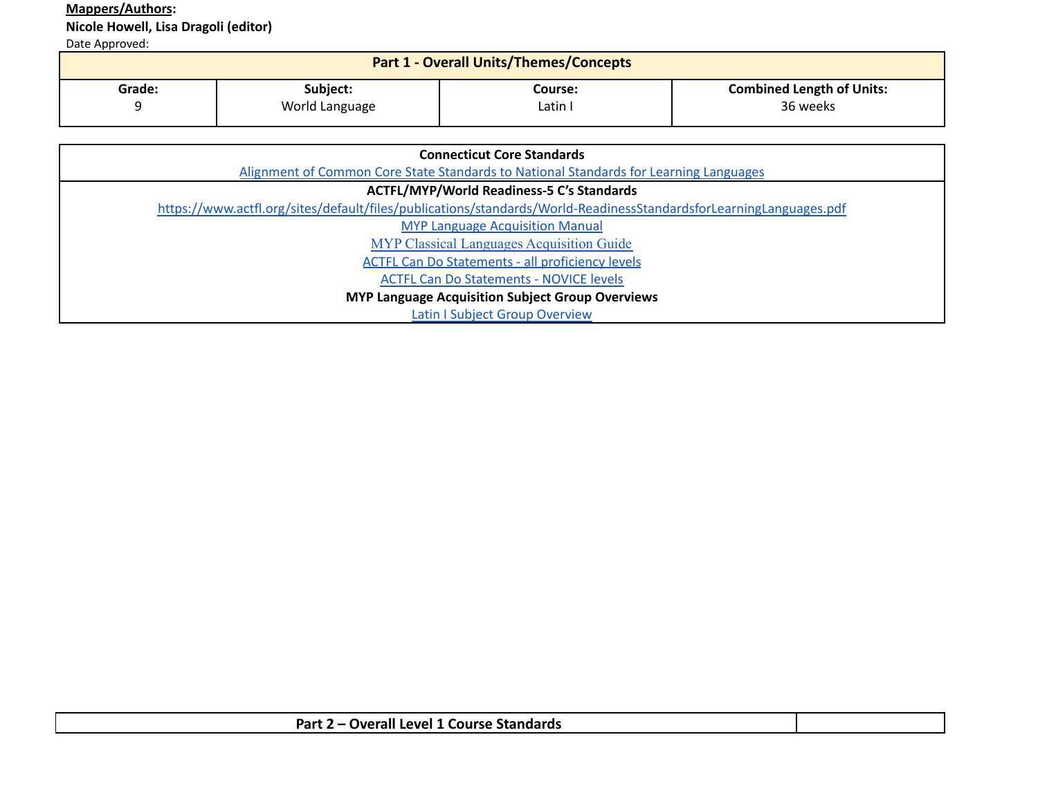# **Mappers/Authors:**

**Nicole Howell, Lisa Dragoli (editor)**

| <b>Part 1 - Overall Units/Themes/Concepts</b> |                |         |                                  |
|-----------------------------------------------|----------------|---------|----------------------------------|
| Grade:                                        | Subject:       | Course: | <b>Combined Length of Units:</b> |
|                                               | World Language | Latin I | 36 weeks                         |

| <b>Connecticut Core Standards</b>                                                                                 |  |  |  |
|-------------------------------------------------------------------------------------------------------------------|--|--|--|
| Alignment of Common Core State Standards to National Standards for Learning Languages                             |  |  |  |
| <b>ACTFL/MYP/World Readiness-5 C's Standards</b>                                                                  |  |  |  |
| https://www.actfl.org/sites/default/files/publications/standards/World-ReadinessStandardsforLearningLanguages.pdf |  |  |  |
| <b>MYP Language Acquisition Manual</b>                                                                            |  |  |  |
| <b>MYP Classical Languages Acquisition Guide</b>                                                                  |  |  |  |
| <b>ACTFL Can Do Statements - all proficiency levels</b>                                                           |  |  |  |
| <b>ACTFL Can Do Statements - NOVICE levels</b>                                                                    |  |  |  |
| <b>MYP Language Acquisition Subject Group Overviews</b>                                                           |  |  |  |
| Latin I Subject Group Overview                                                                                    |  |  |  |

| Part 2 – Overall Level 1 Course Standards |  |
|-------------------------------------------|--|
|-------------------------------------------|--|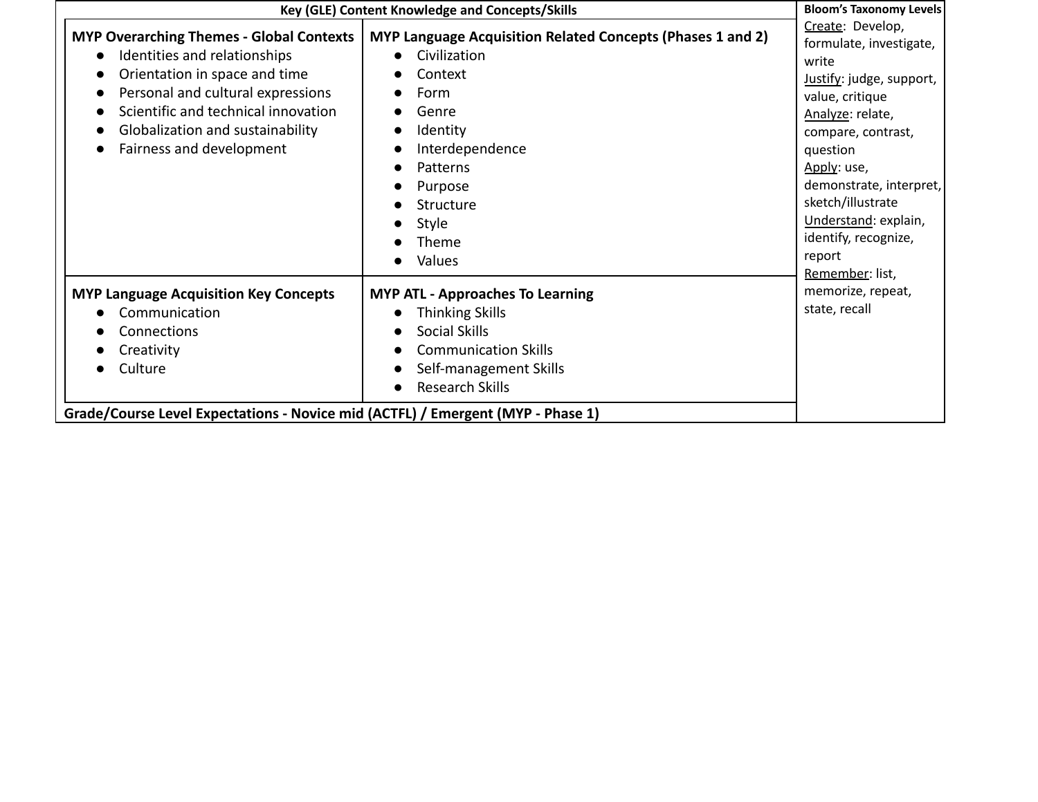| Key (GLE) Content Knowledge and Concepts/Skills                                                                                                                                                                                                                                        | <b>Bloom's Taxonomy Levels</b>                                                                                                                                                                        |                                                                                                                                                                                                                                                                                                       |
|----------------------------------------------------------------------------------------------------------------------------------------------------------------------------------------------------------------------------------------------------------------------------------------|-------------------------------------------------------------------------------------------------------------------------------------------------------------------------------------------------------|-------------------------------------------------------------------------------------------------------------------------------------------------------------------------------------------------------------------------------------------------------------------------------------------------------|
| <b>MYP Overarching Themes - Global Contexts</b><br>Identities and relationships<br>$\bullet$<br>Orientation in space and time<br>Personal and cultural expressions<br>$\bullet$<br>Scientific and technical innovation<br>Globalization and sustainability<br>Fairness and development | MYP Language Acquisition Related Concepts (Phases 1 and 2)<br>Civilization<br>Context<br>Form<br>Genre<br>Identity<br>Interdependence<br>Patterns<br>Purpose<br>Structure<br>Style<br>Theme<br>Values | Create: Develop,<br>formulate, investigate,<br>write<br>Justify: judge, support,<br>value, critique<br>Analyze: relate,<br>compare, contrast,<br>question<br>Apply: use,<br>demonstrate, interpret,<br>sketch/illustrate<br>Understand: explain,<br>identify, recognize,<br>report<br>Remember: list, |
| <b>MYP Language Acquisition Key Concepts</b><br>Communication<br>Connections<br>$\bullet$<br>Creativity<br>Culture                                                                                                                                                                     | <b>MYP ATL - Approaches To Learning</b><br><b>Thinking Skills</b><br><b>Social Skills</b><br>$\bullet$<br><b>Communication Skills</b><br>Self-management Skills<br><b>Research Skills</b>             | memorize, repeat,<br>state, recall                                                                                                                                                                                                                                                                    |
| Grade/Course Level Expectations - Novice mid (ACTFL) / Emergent (MYP - Phase 1)                                                                                                                                                                                                        |                                                                                                                                                                                                       |                                                                                                                                                                                                                                                                                                       |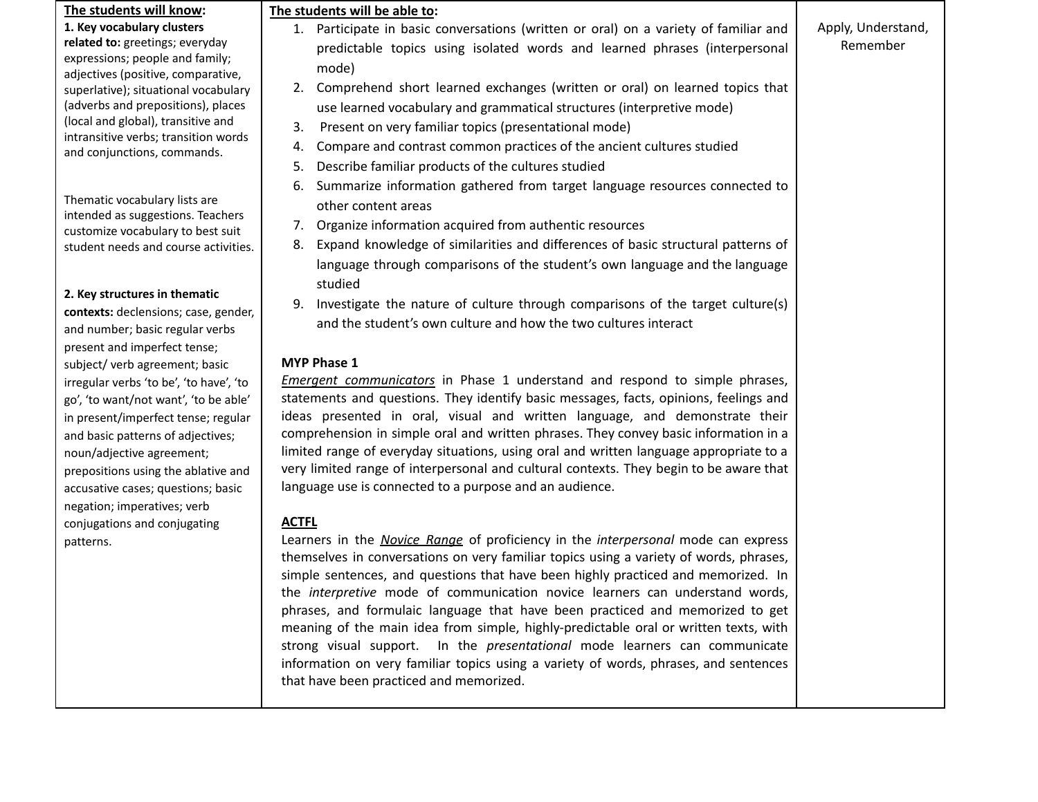## **The students will know:**

**1. Key vocabulary clusters related to:** greetings; everyday expressions; people and family; adjectives (positive, comparative, superlative); situational vocabulary (adverbs and prepositions), places (local and global), transitive and intransitive verbs; transition words and conjunctions, commands.

Thematic vocabulary lists are intended as suggestions. Teachers customize vocabulary to best suit student needs and course activities.

#### **2. Key structures in thematic**

**contexts:** declensions; case, gender, and number; basic regular verbs present and imperfect tense; subject/ verb agreement; basic irregular verbs 'to be', 'to have', 'to go', 'to want/not want', 'to be able' in present/imperfect tense; regular and basic patterns of adjectives; noun/adjective agreement; prepositions using the ablative and accusative cases; questions; basic negation; imperatives; verb conjugations and conjugating patterns.

#### **The students will be able to:**

- 1. Participate in basic conversations (written or oral) on a variety of familiar and predictable topics using isolated words and learned phrases (interpersonal mode)
- 2. Comprehend short learned exchanges (written or oral) on learned topics that use learned vocabulary and grammatical structures (interpretive mode)
- 3. Present on very familiar topics (presentational mode)
- 4. Compare and contrast common practices of the ancient cultures studied
- 5. Describe familiar products of the cultures studied
- 6. Summarize information gathered from target language resources connected to other content areas
- 7. Organize information acquired from authentic resources
- 8. Expand knowledge of similarities and differences of basic structural patterns of language through comparisons of the student's own language and the language studied
- 9. Investigate the nature of culture through comparisons of the target culture(s) and the student's own culture and how the two cultures interact

# **MYP Phase 1**

*Emergent communicators* in Phase 1 understand and respond to simple phrases, statements and questions. They identify basic messages, facts, opinions, feelings and ideas presented in oral, visual and written language, and demonstrate their comprehension in simple oral and written phrases. They convey basic information in a limited range of everyday situations, using oral and written language appropriate to a very limited range of interpersonal and cultural contexts. They begin to be aware that language use is connected to a purpose and an audience.

# **ACTFL**

Learners in the *Novice Range* of proficiency in the *interpersonal* mode can express themselves in conversations on very familiar topics using a variety of words, phrases, simple sentences, and questions that have been highly practiced and memorized. In the *interpretive* mode of communication novice learners can understand words, phrases, and formulaic language that have been practiced and memorized to get meaning of the main idea from simple, highly-predictable oral or written texts, with strong visual support. In the *presentational* mode learners can communicate information on very familiar topics using a variety of words, phrases, and sentences that have been practiced and memorized.

Apply, Understand, Remember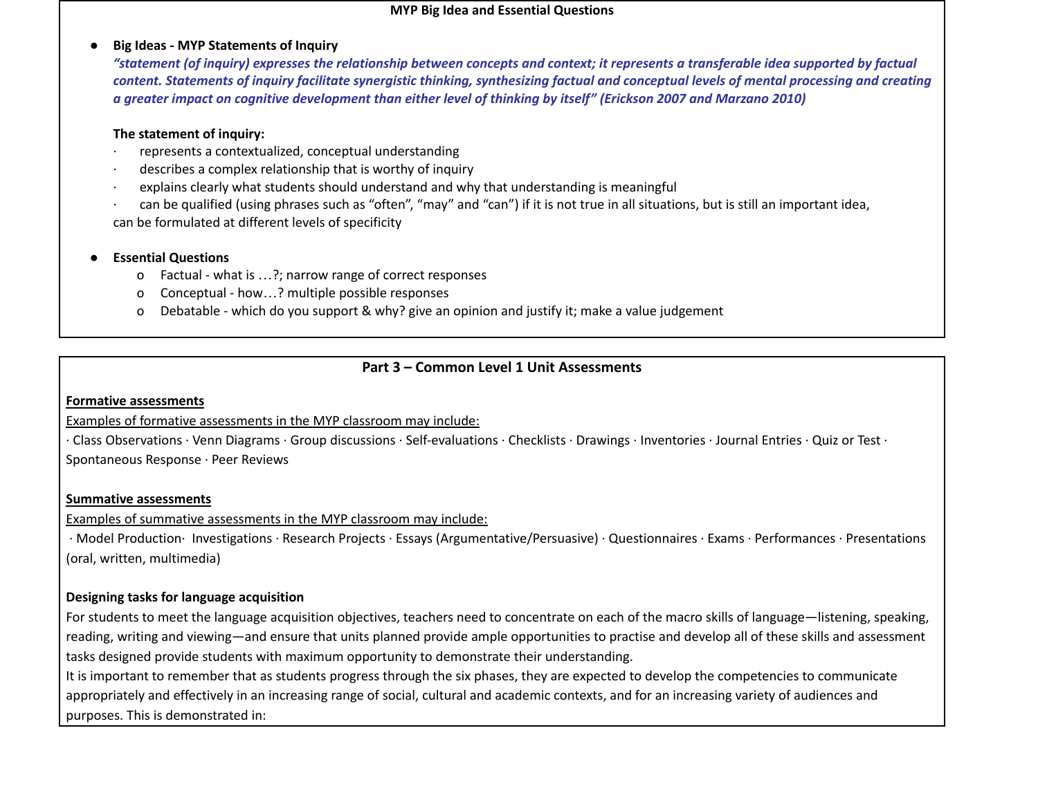#### **MYP Big Idea and Essential Questions**

## **● Big Ideas - MYP Statements of Inquiry**

"statement (of inguiry) expresses the relationship between concepts and context; it represents a transferable idea supported by factual content. Statements of inquiry facilitate synergistic thinking, synthesizing factual and conceptual levels of mental processing and creating a greater impact on cognitive development than either level of thinking by itself" (Erickson 2007 and Marzano 2010)

#### **The statement of inquiry:**

- represents a contextualized, conceptual understanding
- describes a complex relationship that is worthy of inquiry
- explains clearly what students should understand and why that understanding is meaningful

· can be qualified (using phrases such as "often", "may" and "can") if it is not true in all situations, but is still an important idea, can be formulated at different levels of specificity

## **● Essential Questions**

- o Factual what is …?; narrow range of correct responses
- o Conceptual how…? multiple possible responses
- o Debatable which do you support & why? give an opinion and justify it; make a value judgement

# **Part 3 – Common Level 1 Unit Assessments**

#### **Formative assessments**

## Examples of formative assessments in the MYP classroom may include:

· Class Observations · Venn Diagrams · Group discussions · Self-evaluations · Checklists · Drawings · Inventories · Journal Entries · Quiz or Test · Spontaneous Response · Peer Reviews

#### **Summative assessments**

## Examples of summative assessments in the MYP classroom may include:

· Model Production· Investigations · Research Projects · Essays (Argumentative/Persuasive) · Questionnaires · Exams · Performances · Presentations (oral, written, multimedia)

## **Designing tasks for language acquisition**

For students to meet the language acquisition objectives, teachers need to concentrate on each of the macro skills of language—listening, speaking, reading, writing and viewing—and ensure that units planned provide ample opportunities to practise and develop all of these skills and assessment tasks designed provide students with maximum opportunity to demonstrate their understanding.

It is important to remember that as students progress through the six phases, they are expected to develop the competencies to communicate appropriately and effectively in an increasing range of social, cultural and academic contexts, and for an increasing variety of audiences and purposes. This is demonstrated in: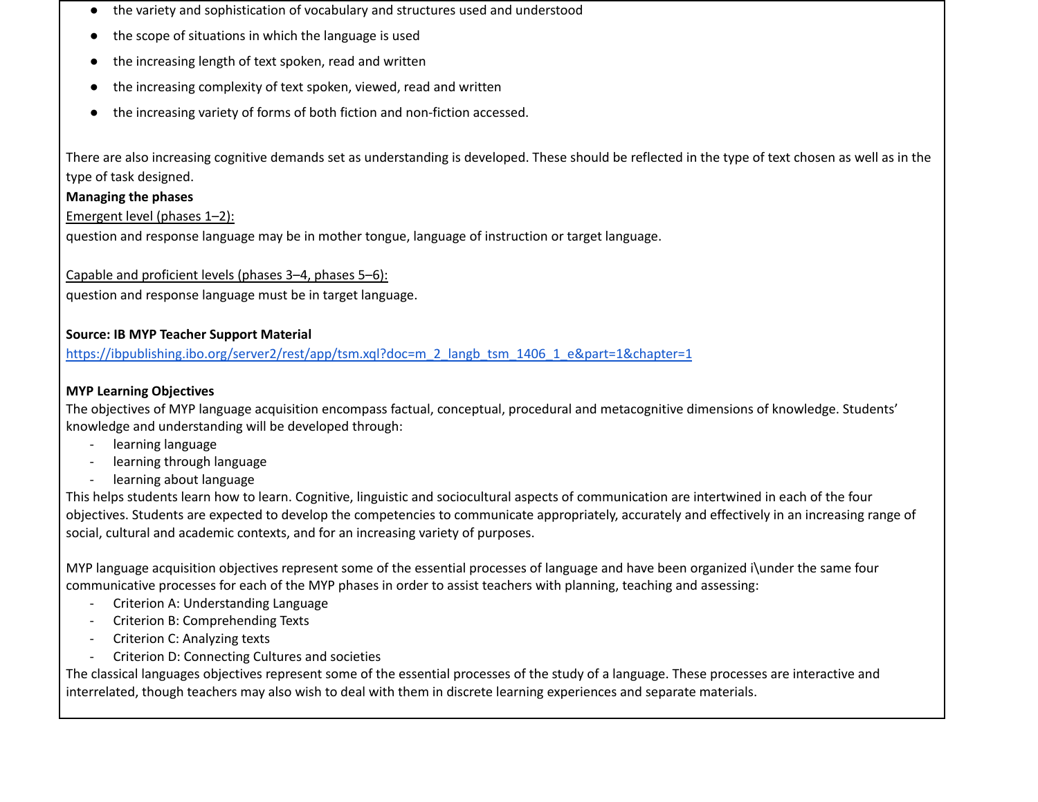- the variety and sophistication of vocabulary and structures used and understood
- the scope of situations in which the language is used
- the increasing length of text spoken, read and written
- the increasing complexity of text spoken, viewed, read and written
- the increasing variety of forms of both fiction and non-fiction accessed.

There are also increasing cognitive demands set as understanding is developed. These should be reflected in the type of text chosen as well as in the type of task designed.

# **Managing the phases**

Emergent level (phases 1–2):

question and response language may be in mother tongue, language of instruction or target language.

Capable and proficient levels (phases 3–4, phases 5–6):

question and response language must be in target language.

# **Source: IB MYP Teacher Support Material**

[https://ibpublishing.ibo.org/server2/rest/app/tsm.xql?doc=m\\_2\\_langb\\_tsm\\_1406\\_1\\_e&part=1&chapter=1](https://ibpublishing.ibo.org/server2/rest/app/tsm.xql?doc=m_2_langb_tsm_1406_1_e&part=1&chapter=1)

# **MYP Learning Objectives**

The objectives of MYP language acquisition encompass factual, conceptual, procedural and metacognitive dimensions of knowledge. Students' knowledge and understanding will be developed through:

- learning language
- learning through language
- learning about language

This helps students learn how to learn. Cognitive, linguistic and sociocultural aspects of communication are intertwined in each of the four objectives. Students are expected to develop the competencies to communicate appropriately, accurately and effectively in an increasing range of social, cultural and academic contexts, and for an increasing variety of purposes.

MYP language acquisition objectives represent some of the essential processes of language and have been organized i\under the same four communicative processes for each of the MYP phases in order to assist teachers with planning, teaching and assessing:

- Criterion A: Understanding Language
- Criterion B: Comprehending Texts
- Criterion C: Analyzing texts
- Criterion D: Connecting Cultures and societies

The classical languages objectives represent some of the essential processes of the study of a language. These processes are interactive and interrelated, though teachers may also wish to deal with them in discrete learning experiences and separate materials.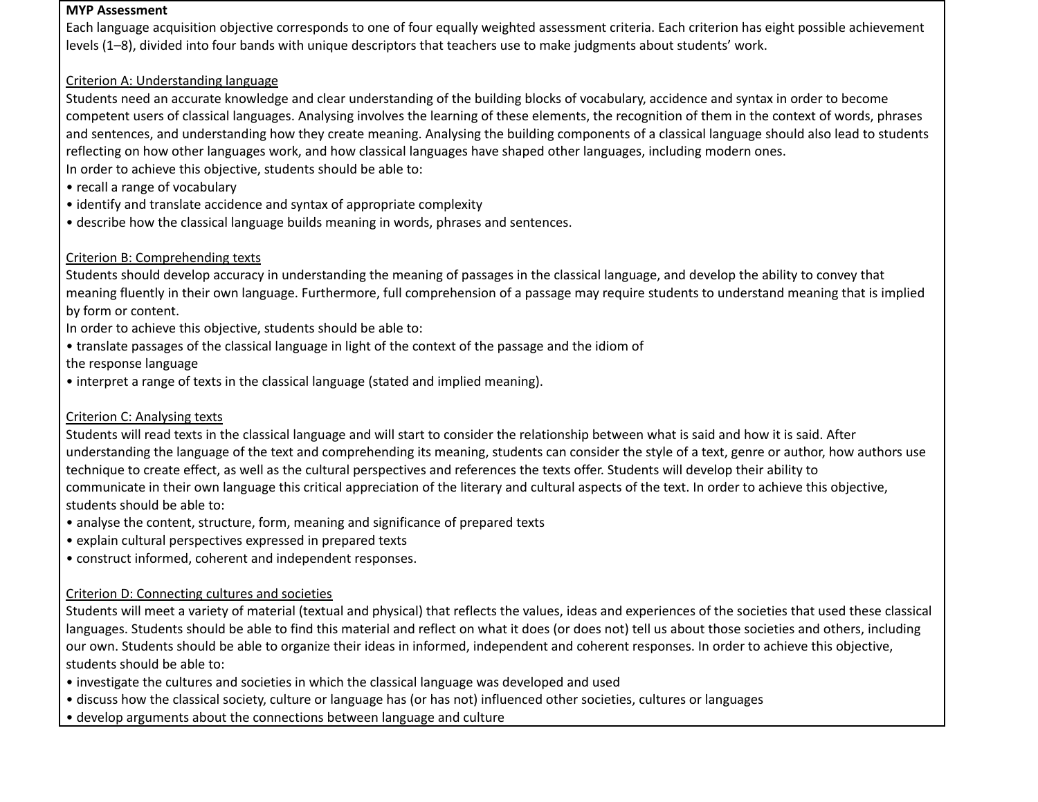#### **MYP Assessment**

Each language acquisition objective corresponds to one of four equally weighted assessment criteria. Each criterion has eight possible achievement levels (1–8), divided into four bands with unique descriptors that teachers use to make judgments about students' work.

## Criterion A: Understanding language

Students need an accurate knowledge and clear understanding of the building blocks of vocabulary, accidence and syntax in order to become competent users of classical languages. Analysing involves the learning of these elements, the recognition of them in the context of words, phrases and sentences, and understanding how they create meaning. Analysing the building components of a classical language should also lead to students reflecting on how other languages work, and how classical languages have shaped other languages, including modern ones. In order to achieve this objective, students should be able to:

- recall a range of vocabulary
- identify and translate accidence and syntax of appropriate complexity
- describe how the classical language builds meaning in words, phrases and sentences.

# Criterion B: Comprehending texts

Students should develop accuracy in understanding the meaning of passages in the classical language, and develop the ability to convey that meaning fluently in their own language. Furthermore, full comprehension of a passage may require students to understand meaning that is implied by form or content.

In order to achieve this objective, students should be able to:

- translate passages of the classical language in light of the context of the passage and the idiom of the response language
- interpret a range of texts in the classical language (stated and implied meaning).

## Criterion C: Analysing texts

Students will read texts in the classical language and will start to consider the relationship between what is said and how it is said. After understanding the language of the text and comprehending its meaning, students can consider the style of a text, genre or author, how authors use technique to create effect, as well as the cultural perspectives and references the texts offer. Students will develop their ability to communicate in their own language this critical appreciation of the literary and cultural aspects of the text. In order to achieve this objective, students should be able to:

- analyse the content, structure, form, meaning and significance of prepared texts
- explain cultural perspectives expressed in prepared texts
- construct informed, coherent and independent responses.

# Criterion D: Connecting cultures and societies

Students will meet a variety of material (textual and physical) that reflects the values, ideas and experiences of the societies that used these classical languages. Students should be able to find this material and reflect on what it does (or does not) tell us about those societies and others, including our own. Students should be able to organize their ideas in informed, independent and coherent responses. In order to achieve this objective, students should be able to:

- investigate the cultures and societies in which the classical language was developed and used
- discuss how the classical society, culture or language has (or has not) influenced other societies, cultures or languages
- develop arguments about the connections between language and culture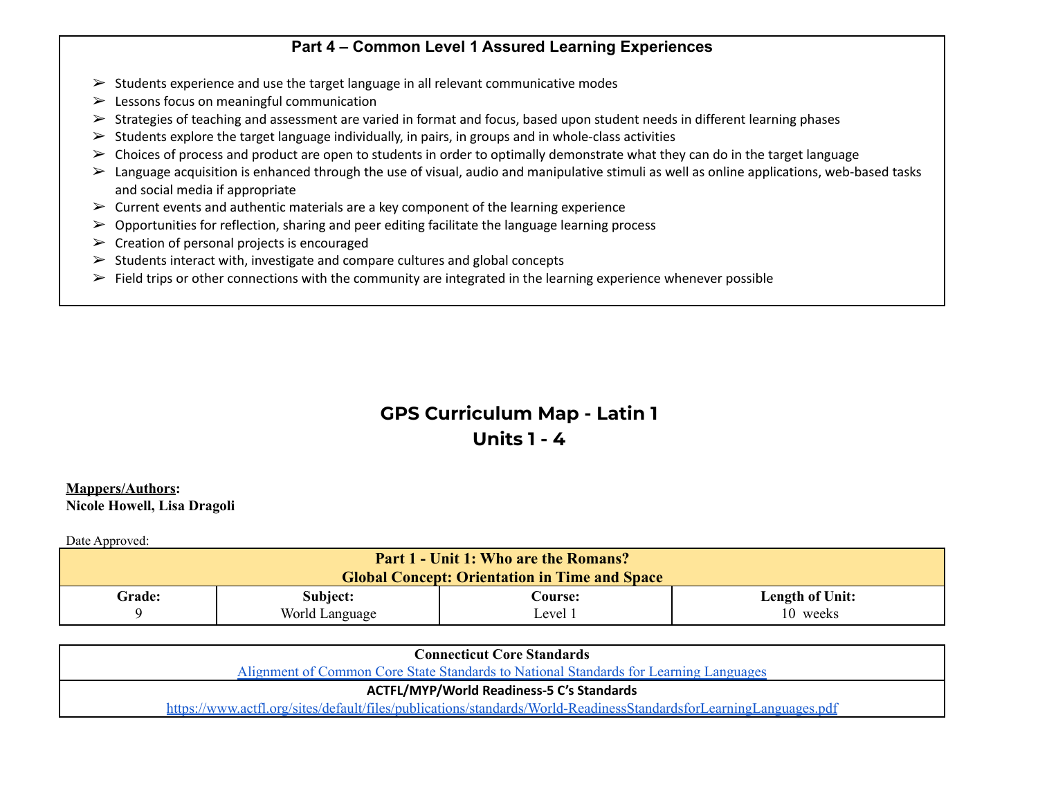# **Part 4 – Common Level 1 Assured Learning Experiences**

- $\triangleright$  Students experience and use the target language in all relevant communicative modes
- $\blacktriangleright$  Lessons focus on meaningful communication
- $\triangleright$  Strategies of teaching and assessment are varied in format and focus, based upon student needs in different learning phases
- $\triangleright$  Students explore the target language individually, in pairs, in groups and in whole-class activities
- $\triangleright$  Choices of process and product are open to students in order to optimally demonstrate what they can do in the target language
- ➢ Language acquisition is enhanced through the use of visual, audio and manipulative stimuli as well as online applications, web-based tasks and social media if appropriate
- $\triangleright$  Current events and authentic materials are a key component of the learning experience
- $\triangleright$  Opportunities for reflection, sharing and peer editing facilitate the language learning process
- $\triangleright$  Creation of personal projects is encouraged
- $\triangleright$  Students interact with, investigate and compare cultures and global concepts
- $\triangleright$  Field trips or other connections with the community are integrated in the learning experience whenever possible

# **GPS Curriculum Map - Latin 1 Units 1 - 4**

#### **Mappers/Authors: Nicole Howell, Lisa Dragoli**

<span id="page-7-0"></span>

| <b>Part 1 - Unit 1: Who are the Romans?</b><br><b>Global Concept: Orientation in Time and Space</b> |                |         |                        |  |
|-----------------------------------------------------------------------------------------------------|----------------|---------|------------------------|--|
| Grade:                                                                                              | Subject:       | Course: | <b>Length of Unit:</b> |  |
|                                                                                                     | World Language | evel    | 10 weeks               |  |

| <b>Connecticut Core Standards</b>                                                                                 |  |  |
|-------------------------------------------------------------------------------------------------------------------|--|--|
| Alignment of Common Core State Standards to National Standards for Learning Languages                             |  |  |
| <b>ACTFL/MYP/World Readiness-5 C's Standards</b>                                                                  |  |  |
| https://www.actfl.org/sites/default/files/publications/standards/World-ReadinessStandardsforLearningLanguages.pdf |  |  |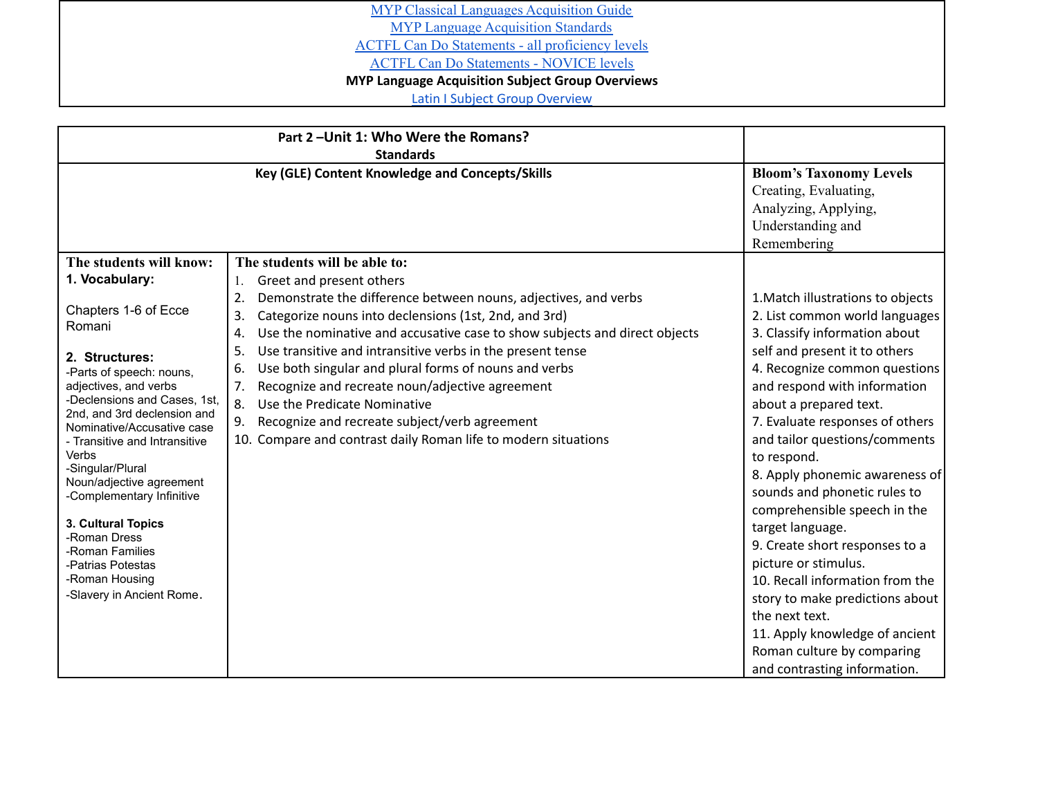MYP Classical Languages [Acquisition](https://drive.google.com/file/d/1y58z5IFD39T7rkPh9LLo9fDH-CqOIdP-/view?usp=sharing) Guide MYP Language [Acquisition](https://drive.google.com/file/d/1UAZW12R-NrQXLZqtO-GIpgSxI9MJ3vjT/view?usp=sharing) Standards ACTFL Can Do Statements - all [proficiency](https://www.actfl.org/sites/default/files/CanDos/Can-Do_Benchmarks_Indicators.pdf) levels ACTFL Can Do [Statements](https://www.actfl.org/sites/default/files/CanDos/Novice%20Can-Do_Statements.pdf) - NOVICE levels **MYP Language Acquisition Subject Group Overviews** Latin I Subject Group [Overview](https://docs.google.com/document/d/1a-2in8qrJIwnan8O4jt-Gso0IHPGQ-ERZlulttZ3RTo/edit?usp=sharing)

|                                                                                                                                                                                                                                                                                                                                                                                                                                                                                                     | Part 2 - Unit 1: Who Were the Romans?<br><b>Standards</b>                                                                                                                                                                                                                                                                                                                                                                                                                                                                                                                                                                                        |                                                                                                                                                                                                                                                                                                                                                                                                                                                                                                                                                                                                                                                             |
|-----------------------------------------------------------------------------------------------------------------------------------------------------------------------------------------------------------------------------------------------------------------------------------------------------------------------------------------------------------------------------------------------------------------------------------------------------------------------------------------------------|--------------------------------------------------------------------------------------------------------------------------------------------------------------------------------------------------------------------------------------------------------------------------------------------------------------------------------------------------------------------------------------------------------------------------------------------------------------------------------------------------------------------------------------------------------------------------------------------------------------------------------------------------|-------------------------------------------------------------------------------------------------------------------------------------------------------------------------------------------------------------------------------------------------------------------------------------------------------------------------------------------------------------------------------------------------------------------------------------------------------------------------------------------------------------------------------------------------------------------------------------------------------------------------------------------------------------|
|                                                                                                                                                                                                                                                                                                                                                                                                                                                                                                     | Key (GLE) Content Knowledge and Concepts/Skills                                                                                                                                                                                                                                                                                                                                                                                                                                                                                                                                                                                                  | <b>Bloom's Taxonomy Levels</b><br>Creating, Evaluating,<br>Analyzing, Applying,<br>Understanding and<br>Remembering                                                                                                                                                                                                                                                                                                                                                                                                                                                                                                                                         |
| The students will know:<br>1. Vocabulary:<br>Chapters 1-6 of Ecce<br>Romani<br>2. Structures:<br>-Parts of speech: nouns,<br>adjectives, and verbs<br>-Declensions and Cases, 1st,<br>2nd, and 3rd declension and<br>Nominative/Accusative case<br>- Transitive and Intransitive<br>Verbs<br>-Singular/Plural<br>Noun/adjective agreement<br>-Complementary Infinitive<br>3. Cultural Topics<br>-Roman Dress<br>-Roman Families<br>-Patrias Potestas<br>-Roman Housing<br>-Slavery in Ancient Rome. | The students will be able to:<br>Greet and present others<br>Demonstrate the difference between nouns, adjectives, and verbs<br>2.<br>Categorize nouns into declensions (1st, 2nd, and 3rd)<br>3.<br>Use the nominative and accusative case to show subjects and direct objects<br>4.<br>Use transitive and intransitive verbs in the present tense<br>5.<br>Use both singular and plural forms of nouns and verbs<br>6.<br>Recognize and recreate noun/adjective agreement<br>7.<br>Use the Predicate Nominative<br>8.<br>Recognize and recreate subject/verb agreement<br>9.<br>10. Compare and contrast daily Roman life to modern situations | 1. Match illustrations to objects<br>2. List common world languages<br>3. Classify information about<br>self and present it to others<br>4. Recognize common questions<br>and respond with information<br>about a prepared text.<br>7. Evaluate responses of others<br>and tailor questions/comments<br>to respond.<br>8. Apply phonemic awareness of<br>sounds and phonetic rules to<br>comprehensible speech in the<br>target language.<br>9. Create short responses to a<br>picture or stimulus.<br>10. Recall information from the<br>story to make predictions about<br>the next text.<br>11. Apply knowledge of ancient<br>Roman culture by comparing |
|                                                                                                                                                                                                                                                                                                                                                                                                                                                                                                     |                                                                                                                                                                                                                                                                                                                                                                                                                                                                                                                                                                                                                                                  | and contrasting information.                                                                                                                                                                                                                                                                                                                                                                                                                                                                                                                                                                                                                                |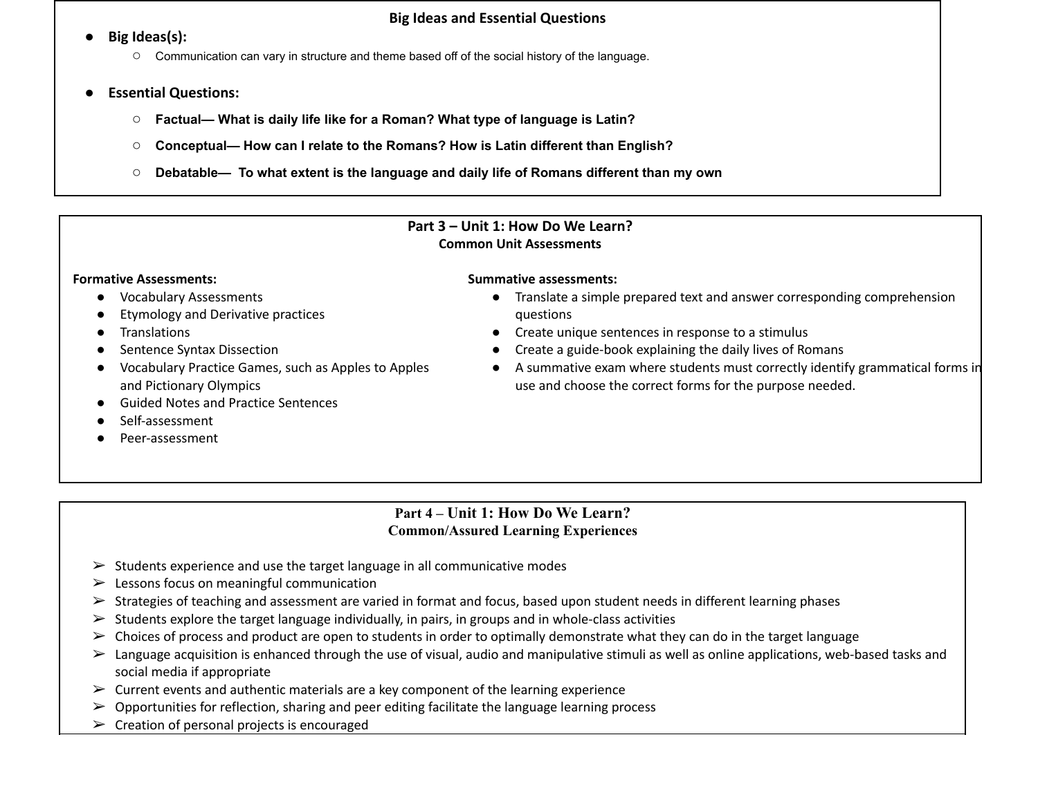## **Big Ideas and Essential Questions**

- **● Big Ideas(s):**
	- Communication can vary in structure and theme based off of the social history of the language.
- **● Essential Questions:**
	- **Factual— What is daily life like for a Roman? What type of language is Latin?**
	- **Conceptual— How can I relate to the Romans? How is Latin different than English?**
	- **Debatable— To what extent is the language and daily life of Romans different than my own**

## **Part 3 – Unit 1: How Do We Learn? Common Unit Assessments**

#### **Formative Assessments:**

- Vocabulary Assessments
- **Etymology and Derivative practices**
- Translations
- Sentence Syntax Dissection
- Vocabulary Practice Games, such as Apples to Apples and Pictionary Olympics
- **Guided Notes and Practice Sentences**
- Self-assessment
- Peer-assessment

#### **Summative assessments:**

- Translate a simple prepared text and answer corresponding comprehension questions
- Create unique sentences in response to a stimulus
- Create a guide-book explaining the daily lives of Romans
- A summative exam where students must correctly identify grammatical forms in use and choose the correct forms for the purpose needed.

## **Part 4 – Unit 1: How Do We Learn? Common/Assured Learning Experiences**

- $\triangleright$  Students experience and use the target language in all communicative modes
- $\triangleright$  Lessons focus on meaningful communication
- $\triangleright$  Strategies of teaching and assessment are varied in format and focus, based upon student needs in different learning phases
- $\triangleright$  Students explore the target language individually, in pairs, in groups and in whole-class activities
- ➢ Choices of process and product are open to students in order to optimally demonstrate what they can do in the target language
- ➢ Language acquisition is enhanced through the use of visual, audio and manipulative stimuli as well as online applications, web-based tasks and social media if appropriate
- $\triangleright$  Current events and authentic materials are a key component of the learning experience
- $\triangleright$  Opportunities for reflection, sharing and peer editing facilitate the language learning process
- $\triangleright$  Creation of personal projects is encouraged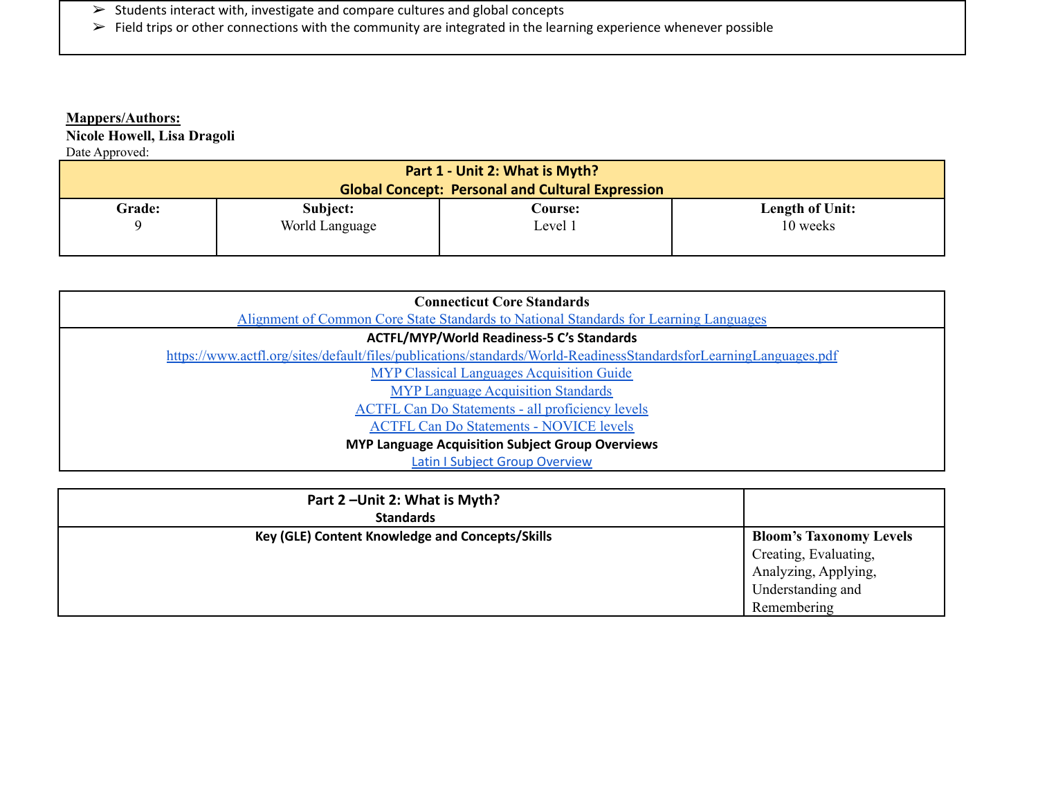- ➢ Students interact with, investigate and compare cultures and global concepts
- ➢ Field trips or other connections with the community are integrated in the learning experience whenever possible

# **Mappers/Authors:**

# **Nicole Howell, Lisa Dragoli**

<span id="page-10-0"></span>

| Part 1 - Unit 2: What is Myth? |                                                                           |  |  |
|--------------------------------|---------------------------------------------------------------------------|--|--|
|                                |                                                                           |  |  |
| Course:                        | Length of Unit:                                                           |  |  |
| Level 1                        | 10 weeks                                                                  |  |  |
|                                |                                                                           |  |  |
| Subject:                       | <b>Global Concept: Personal and Cultural Expression</b><br>World Language |  |  |

| <b>Connecticut Core Standards</b>                                                                                 |  |  |
|-------------------------------------------------------------------------------------------------------------------|--|--|
| Alignment of Common Core State Standards to National Standards for Learning Languages                             |  |  |
| <b>ACTFL/MYP/World Readiness-5 C's Standards</b>                                                                  |  |  |
| https://www.actfl.org/sites/default/files/publications/standards/World-ReadinessStandardsforLearningLanguages.pdf |  |  |
| <b>MYP Classical Languages Acquisition Guide</b>                                                                  |  |  |
| <b>MYP Language Acquisition Standards</b>                                                                         |  |  |
| <b>ACTFL Can Do Statements - all proficiency levels</b>                                                           |  |  |
| <b>ACTFL Can Do Statements - NOVICE levels</b>                                                                    |  |  |
| <b>MYP Language Acquisition Subject Group Overviews</b>                                                           |  |  |
| <b>Latin I Subject Group Overview</b>                                                                             |  |  |

| Part 2 - Unit 2: What is Myth?<br><b>Standards</b> |                                                                                                                     |
|----------------------------------------------------|---------------------------------------------------------------------------------------------------------------------|
| Key (GLE) Content Knowledge and Concepts/Skills    | <b>Bloom's Taxonomy Levels</b><br>Creating, Evaluating,<br>Analyzing, Applying,<br>Understanding and<br>Remembering |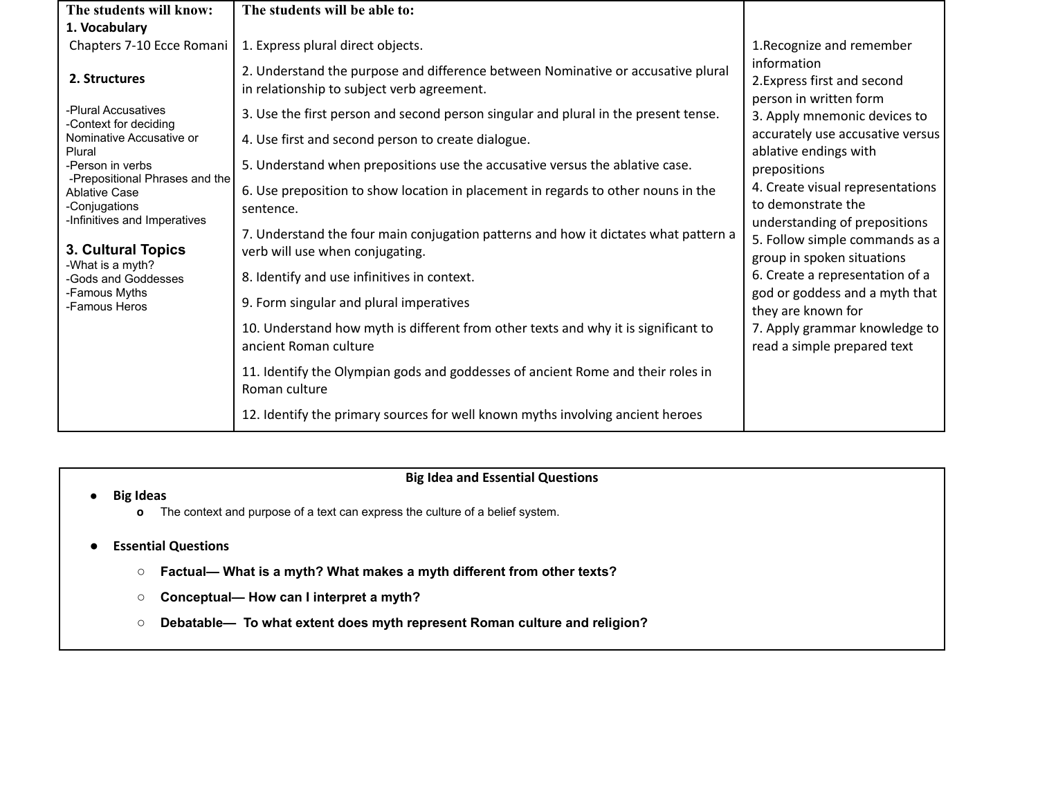| The students will know:                                               | The students will be able to:                                                                                                  |                                                                                                                                                                                                                                                                                                                                                                                                                                                                                                                                      |
|-----------------------------------------------------------------------|--------------------------------------------------------------------------------------------------------------------------------|--------------------------------------------------------------------------------------------------------------------------------------------------------------------------------------------------------------------------------------------------------------------------------------------------------------------------------------------------------------------------------------------------------------------------------------------------------------------------------------------------------------------------------------|
| 1. Vocabulary                                                         |                                                                                                                                |                                                                                                                                                                                                                                                                                                                                                                                                                                                                                                                                      |
| Chapters 7-10 Ecce Romani                                             | 1. Express plural direct objects.                                                                                              | 1. Recognize and remember<br>information<br>2. Express first and second<br>person in written form<br>3. Apply mnemonic devices to<br>accurately use accusative versus<br>ablative endings with<br>prepositions<br>4. Create visual representations<br>to demonstrate the<br>understanding of prepositions<br>5. Follow simple commands as a<br>group in spoken situations<br>6. Create a representation of a<br>god or goddess and a myth that<br>they are known for<br>7. Apply grammar knowledge to<br>read a simple prepared text |
| 2. Structures                                                         | 2. Understand the purpose and difference between Nominative or accusative plural<br>in relationship to subject verb agreement. |                                                                                                                                                                                                                                                                                                                                                                                                                                                                                                                                      |
| -Plural Accusatives<br>-Context for deciding                          | 3. Use the first person and second person singular and plural in the present tense.                                            |                                                                                                                                                                                                                                                                                                                                                                                                                                                                                                                                      |
| Nominative Accusative or<br>Plural                                    | 4. Use first and second person to create dialogue.                                                                             |                                                                                                                                                                                                                                                                                                                                                                                                                                                                                                                                      |
| -Person in verbs<br>-Prepositional Phrases and the                    | 5. Understand when prepositions use the accusative versus the ablative case.                                                   |                                                                                                                                                                                                                                                                                                                                                                                                                                                                                                                                      |
| <b>Ablative Case</b><br>-Conjugations<br>-Infinitives and Imperatives | 6. Use preposition to show location in placement in regards to other nouns in the<br>sentence.                                 |                                                                                                                                                                                                                                                                                                                                                                                                                                                                                                                                      |
| 3. Cultural Topics<br>-What is a myth?                                | 7. Understand the four main conjugation patterns and how it dictates what pattern a<br>verb will use when conjugating.         |                                                                                                                                                                                                                                                                                                                                                                                                                                                                                                                                      |
| -Gods and Goddesses                                                   | 8. Identify and use infinitives in context.                                                                                    |                                                                                                                                                                                                                                                                                                                                                                                                                                                                                                                                      |
| -Famous Myths<br>-Famous Heros                                        | 9. Form singular and plural imperatives                                                                                        |                                                                                                                                                                                                                                                                                                                                                                                                                                                                                                                                      |
|                                                                       | 10. Understand how myth is different from other texts and why it is significant to<br>ancient Roman culture                    |                                                                                                                                                                                                                                                                                                                                                                                                                                                                                                                                      |
|                                                                       | 11. Identify the Olympian gods and goddesses of ancient Rome and their roles in<br>Roman culture                               |                                                                                                                                                                                                                                                                                                                                                                                                                                                                                                                                      |
|                                                                       | 12. Identify the primary sources for well known myths involving ancient heroes                                                 |                                                                                                                                                                                                                                                                                                                                                                                                                                                                                                                                      |

## **Big Idea and Essential Questions**

#### **● Big Ideas**

**o** The context and purpose of a text can express the culture of a belief system.

## **● Essential Questions**

- **○ Factual— What is a myth? What makes a myth different from other texts?**
- **○ Conceptual— How can I interpret a myth?**
- **○ Debatable— To what extent does myth represent Roman culture and religion?**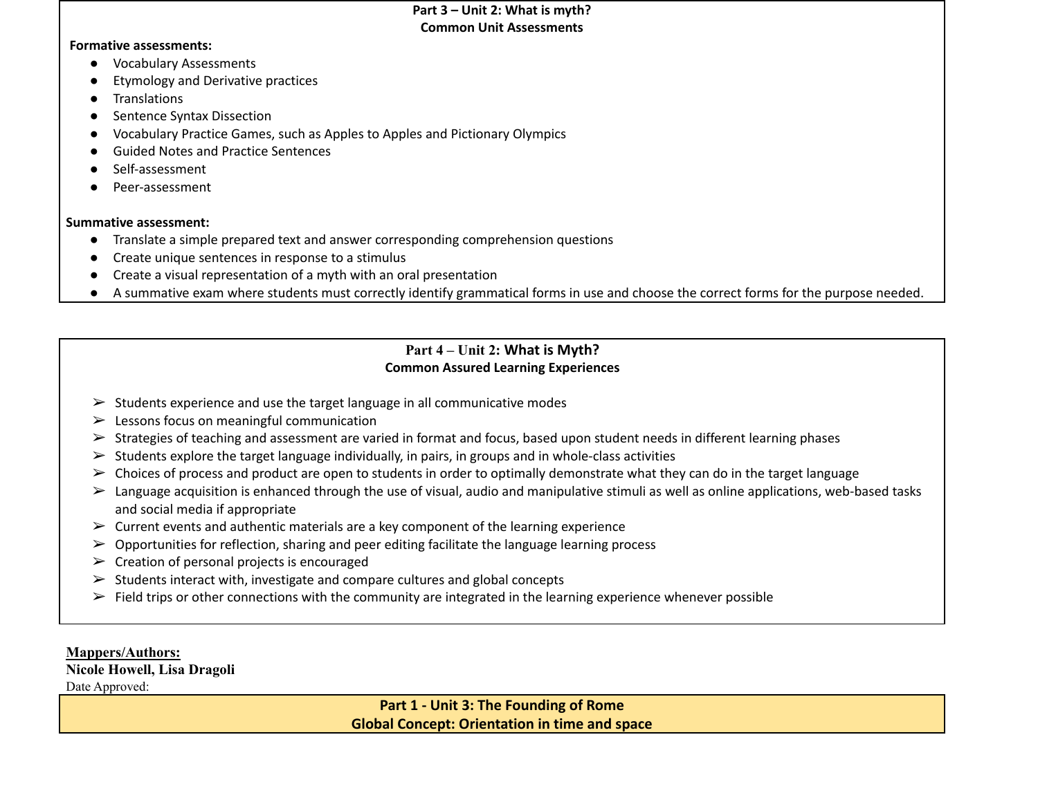## **Part 3 – Unit 2: What is myth? Common Unit Assessments**

#### **Formative assessments:**

- Vocabulary Assessments
- Etymology and Derivative practices
- **Translations**
- **Sentence Syntax Dissection**
- Vocabulary Practice Games, such as Apples to Apples and Pictionary Olympics
- **Guided Notes and Practice Sentences**
- Self-assessment
- Peer-assessment

## **Summative assessment:**

- Translate a simple prepared text and answer corresponding comprehension questions
- Create unique sentences in response to a stimulus
- Create a visual representation of a myth with an oral presentation
- A summative exam where students must correctly identify grammatical forms in use and choose the correct forms for the purpose needed.

# **Part 4 – Unit 2: What is Myth? Common Assured Learning Experiences**

- $\triangleright$  Students experience and use the target language in all communicative modes
- $\triangleright$  Lessons focus on meaningful communication
- $\triangleright$  Strategies of teaching and assessment are varied in format and focus, based upon student needs in different learning phases
- $\triangleright$  Students explore the target language individually, in pairs, in groups and in whole-class activities
- $\triangleright$  Choices of process and product are open to students in order to optimally demonstrate what they can do in the target language
- $\triangleright$  Language acquisition is enhanced through the use of visual, audio and manipulative stimuli as well as online applications, web-based tasks and social media if appropriate
- $\triangleright$  Current events and authentic materials are a key component of the learning experience
- $\triangleright$  Opportunities for reflection, sharing and peer editing facilitate the language learning process
- $\triangleright$  Creation of personal projects is encouraged
- $\triangleright$  Students interact with, investigate and compare cultures and global concepts
- $\triangleright$  Field trips or other connections with the community are integrated in the learning experience whenever possible

# **Mappers/Authors:**

**Nicole Howell, Lisa Dragoli**

<span id="page-12-0"></span>Date Approved:

# **Part 1 - Unit 3: The Founding of Rome Global Concept: Orientation in time and space**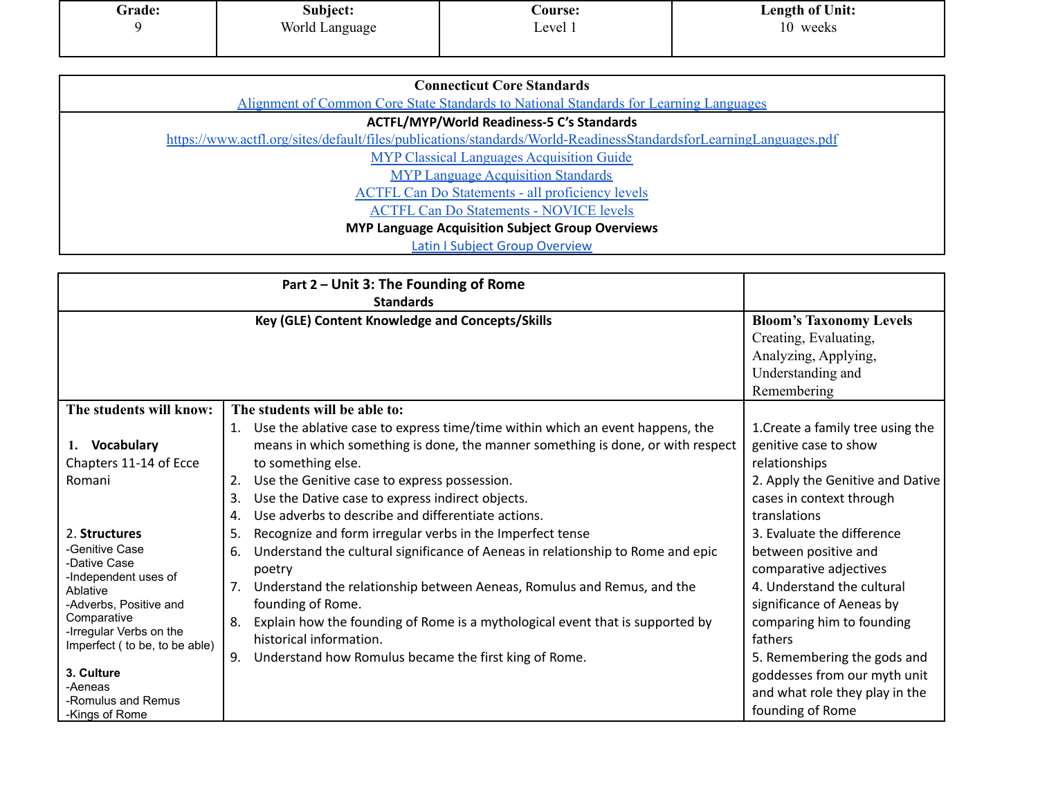| Grade: | Subject:       | <b>Course:</b> | <b>Length of Unit:</b> |
|--------|----------------|----------------|------------------------|
|        | World Language | Level 1        | 10<br>weeks            |
|        |                |                |                        |

| <b>Connecticut Core Standards</b>                                                                                 |  |
|-------------------------------------------------------------------------------------------------------------------|--|
| Alignment of Common Core State Standards to National Standards for Learning Languages                             |  |
| <b>ACTFL/MYP/World Readiness-5 C's Standards</b>                                                                  |  |
| https://www.actfl.org/sites/default/files/publications/standards/World-ReadinessStandardsforLearningLanguages.pdf |  |
| <b>MYP Classical Languages Acquisition Guide</b>                                                                  |  |
| <b>MYP Language Acquisition Standards</b>                                                                         |  |
| <b>ACTFL Can Do Statements - all proficiency levels</b>                                                           |  |
| <b>ACTFL Can Do Statements - NOVICE levels</b>                                                                    |  |
| <b>MYP Language Acquisition Subject Group Overviews</b>                                                           |  |
| <b>Latin I Subject Group Overview</b>                                                                             |  |

|                                        | Part 2 - Unit 3: The Founding of Rome                                                 |                                   |
|----------------------------------------|---------------------------------------------------------------------------------------|-----------------------------------|
|                                        | <b>Standards</b>                                                                      |                                   |
|                                        | Key (GLE) Content Knowledge and Concepts/Skills                                       | <b>Bloom's Taxonomy Levels</b>    |
|                                        |                                                                                       | Creating, Evaluating,             |
|                                        |                                                                                       | Analyzing, Applying,              |
|                                        |                                                                                       | Understanding and                 |
|                                        |                                                                                       | Remembering                       |
| The students will know:                | The students will be able to:                                                         |                                   |
|                                        | Use the ablative case to express time/time within which an event happens, the<br>1.   | 1. Create a family tree using the |
| 1. Vocabulary                          | means in which something is done, the manner something is done, or with respect       | genitive case to show             |
| Chapters 11-14 of Ecce                 | to something else.                                                                    | relationships                     |
| Romani                                 | Use the Genitive case to express possession.<br>2.                                    | 2. Apply the Genitive and Dative  |
|                                        | Use the Dative case to express indirect objects.<br>3.                                | cases in context through          |
|                                        | Use adverbs to describe and differentiate actions.<br>4.                              | translations                      |
| 2. Structures                          | Recognize and form irregular verbs in the Imperfect tense<br>5.                       | 3. Evaluate the difference        |
| -Genitive Case                         | Understand the cultural significance of Aeneas in relationship to Rome and epic<br>6. | between positive and              |
| -Dative Case<br>-Independent uses of   | poetry                                                                                | comparative adjectives            |
| Ablative                               | Understand the relationship between Aeneas, Romulus and Remus, and the<br>7.          | 4. Understand the cultural        |
| -Adverbs, Positive and                 | founding of Rome.                                                                     | significance of Aeneas by         |
| Comparative<br>-Irregular Verbs on the | Explain how the founding of Rome is a mythological event that is supported by<br>8.   | comparing him to founding         |
| Imperfect ( to be, to be able)         | historical information.                                                               | fathers                           |
|                                        | Understand how Romulus became the first king of Rome.<br>9.                           | 5. Remembering the gods and       |
| 3. Culture                             |                                                                                       | goddesses from our myth unit      |
| -Aeneas<br>-Romulus and Remus          |                                                                                       | and what role they play in the    |
| -Kings of Rome                         |                                                                                       | founding of Rome                  |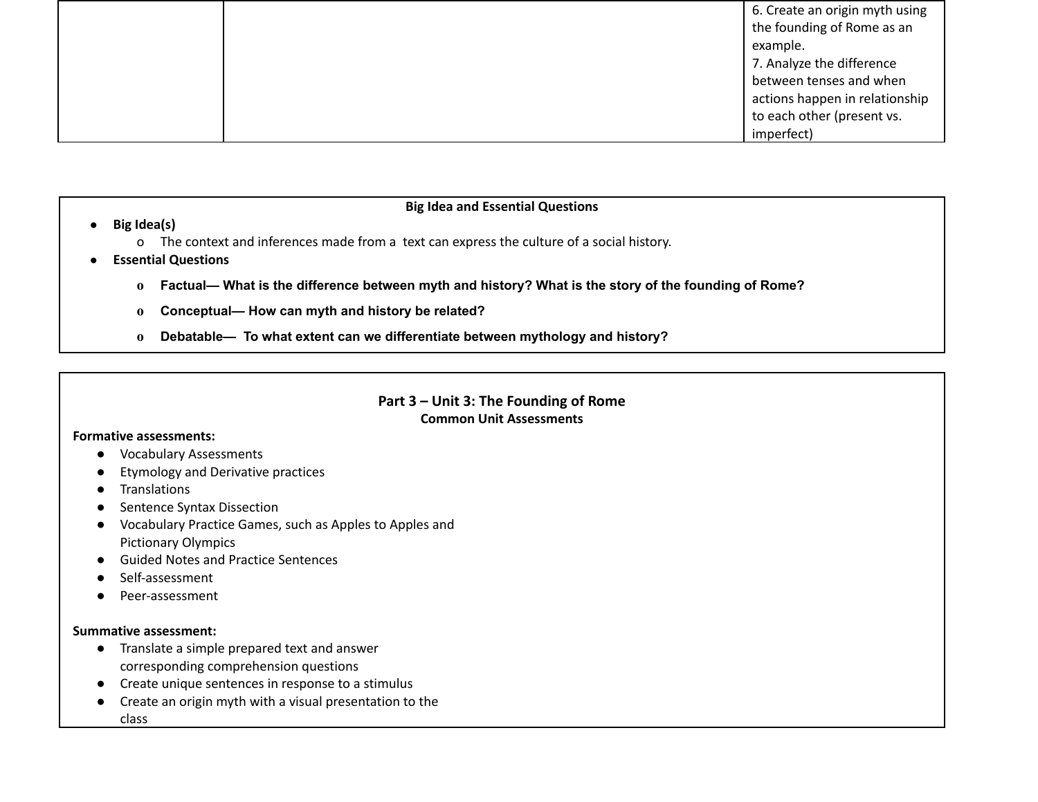| 6. Create an origin myth using |
|--------------------------------|
| the founding of Rome as an     |
| example.                       |
| 7. Analyze the difference      |
| between tenses and when        |
| actions happen in relationship |
| to each other (present vs.     |
| imperfect)                     |

## **Big Idea and Essential Questions**

#### **● Big Idea(s)**

- o The context and inferences made from a text can express the culture of a social history.
- **● Essential Questions**
	- o Factual-What is the difference between myth and history? What is the story of the founding of Rome?
	- **o Conceptual— How can myth and history be related?**
	- **o Debatable— To what extent can we differentiate between mythology and history?**

## **Part 3 – Unit 3: The Founding of Rome Common Unit Assessments**

#### **Formative assessments:**

- Vocabulary Assessments
- Etymology and Derivative practices
- Translations
- Sentence Syntax Dissection
- Vocabulary Practice Games, such as Apples to Apples and Pictionary Olympics
- Guided Notes and Practice Sentences
- Self-assessment
- Peer-assessment

#### **Summative assessment:**

- Translate a simple prepared text and answer corresponding comprehension questions
- Create unique sentences in response to a stimulus
- Create an origin myth with a visual presentation to the class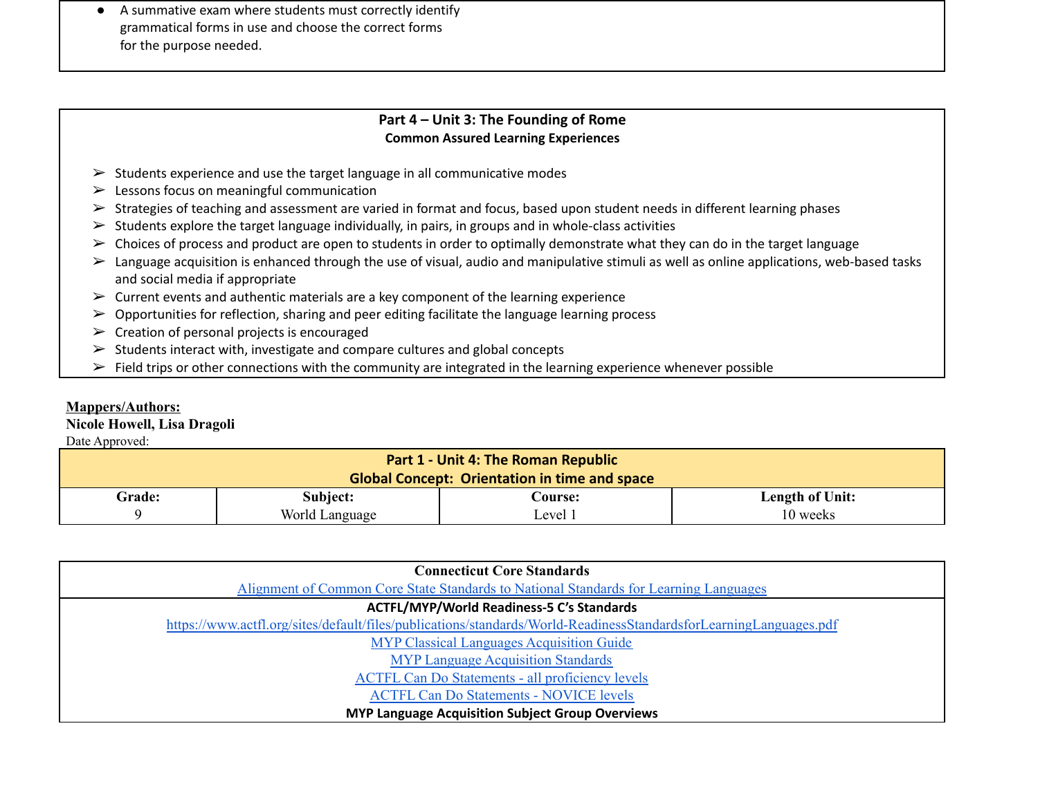● A summative exam where students must correctly identify grammatical forms in use and choose the correct forms for the purpose needed.

## **Part 4 – Unit 3: The Founding of Rome Common Assured Learning Experiences**

- $\triangleright$  Students experience and use the target language in all communicative modes
- $\triangleright$  Lessons focus on meaningful communication
- $\triangleright$  Strategies of teaching and assessment are varied in format and focus, based upon student needs in different learning phases
- $\triangleright$  Students explore the target language individually, in pairs, in groups and in whole-class activities
- $\triangleright$  Choices of process and product are open to students in order to optimally demonstrate what they can do in the target language
- ➢ Language acquisition is enhanced through the use of visual, audio and manipulative stimuli as well as online applications, web-based tasks and social media if appropriate
- $\triangleright$  Current events and authentic materials are a key component of the learning experience
- $\triangleright$  Opportunities for reflection, sharing and peer editing facilitate the language learning process
- $\triangleright$  Creation of personal projects is encouraged
- $\triangleright$  Students interact with, investigate and compare cultures and global concepts
- $\triangleright$  Field trips or other connections with the community are integrated in the learning experience whenever possible

## **Mappers/Authors:**

## **Nicole Howell, Lisa Dragoli**

<span id="page-15-0"></span>

| <b>Part 1 - Unit 4: The Roman Republic</b>           |                |         |                        |
|------------------------------------------------------|----------------|---------|------------------------|
| <b>Global Concept: Orientation in time and space</b> |                |         |                        |
| Grade:                                               | Subject:       | Course: | <b>Length of Unit:</b> |
|                                                      | World Language | evel    | 10 weeks               |

| <b>Connecticut Core Standards</b>                                                                                 |  |  |
|-------------------------------------------------------------------------------------------------------------------|--|--|
| Alignment of Common Core State Standards to National Standards for Learning Languages                             |  |  |
| <b>ACTFL/MYP/World Readiness-5 C's Standards</b>                                                                  |  |  |
| https://www.actfl.org/sites/default/files/publications/standards/World-ReadinessStandardsforLearningLanguages.pdf |  |  |
| <b>MYP Classical Languages Acquisition Guide</b>                                                                  |  |  |
| <b>MYP Language Acquisition Standards</b>                                                                         |  |  |
| <b>ACTFL Can Do Statements - all proficiency levels</b>                                                           |  |  |
| <b>ACTFL Can Do Statements - NOVICE levels</b>                                                                    |  |  |
| <b>MYP Language Acquisition Subject Group Overviews</b>                                                           |  |  |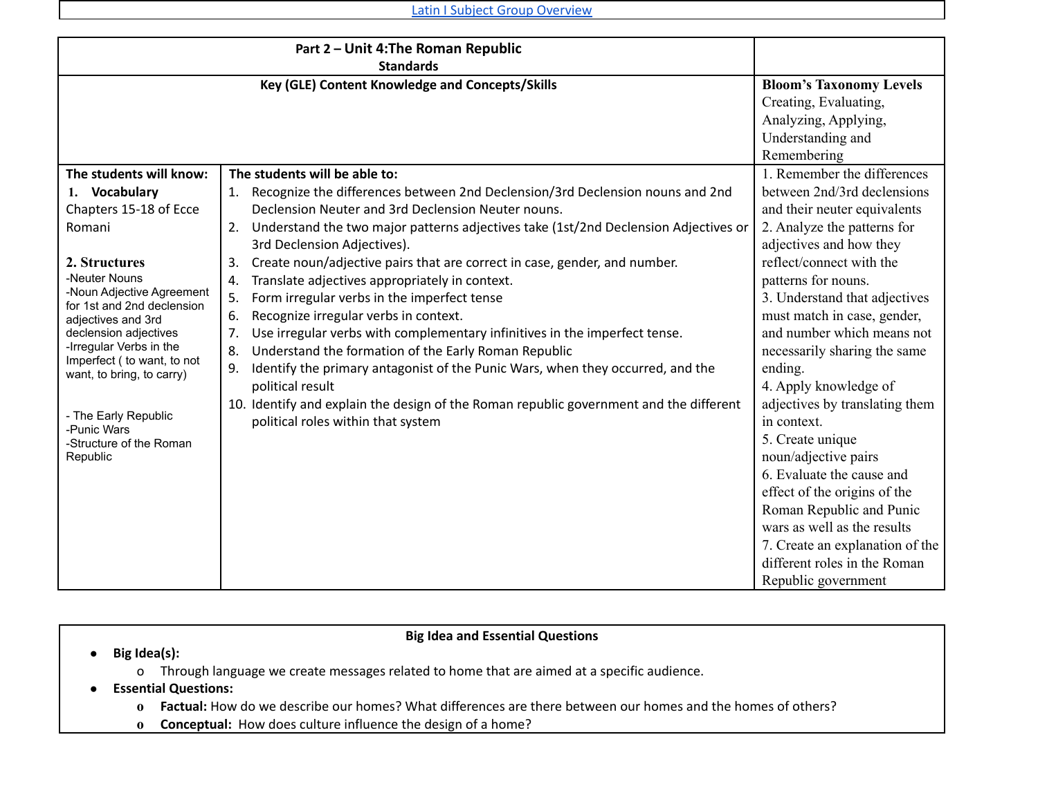## Latin I Subject Group [Overview](https://docs.google.com/document/d/1a-2in8qrJIwnan8O4jt-Gso0IHPGQ-ERZlulttZ3RTo/edit?usp=sharing)

|                                                                                                                                                                                                                                                                                                              | Part 2 - Unit 4: The Roman Republic<br><b>Standards</b>                                                                                                                                                                                                                                                                                                                                                                                                                                                                                                                                                                                   |                                                                                                                                                                                                                                                                                                                                                                                                                                                                                                                                  |
|--------------------------------------------------------------------------------------------------------------------------------------------------------------------------------------------------------------------------------------------------------------------------------------------------------------|-------------------------------------------------------------------------------------------------------------------------------------------------------------------------------------------------------------------------------------------------------------------------------------------------------------------------------------------------------------------------------------------------------------------------------------------------------------------------------------------------------------------------------------------------------------------------------------------------------------------------------------------|----------------------------------------------------------------------------------------------------------------------------------------------------------------------------------------------------------------------------------------------------------------------------------------------------------------------------------------------------------------------------------------------------------------------------------------------------------------------------------------------------------------------------------|
|                                                                                                                                                                                                                                                                                                              |                                                                                                                                                                                                                                                                                                                                                                                                                                                                                                                                                                                                                                           |                                                                                                                                                                                                                                                                                                                                                                                                                                                                                                                                  |
|                                                                                                                                                                                                                                                                                                              | Key (GLE) Content Knowledge and Concepts/Skills                                                                                                                                                                                                                                                                                                                                                                                                                                                                                                                                                                                           | <b>Bloom's Taxonomy Levels</b><br>Creating, Evaluating,<br>Analyzing, Applying,<br>Understanding and<br>Remembering                                                                                                                                                                                                                                                                                                                                                                                                              |
| The students will know:                                                                                                                                                                                                                                                                                      | The students will be able to:                                                                                                                                                                                                                                                                                                                                                                                                                                                                                                                                                                                                             | 1. Remember the differences                                                                                                                                                                                                                                                                                                                                                                                                                                                                                                      |
| 1. Vocabulary<br>Chapters 15-18 of Ecce<br>Romani                                                                                                                                                                                                                                                            | Recognize the differences between 2nd Declension/3rd Declension nouns and 2nd<br>1.<br>Declension Neuter and 3rd Declension Neuter nouns.<br>Understand the two major patterns adjectives take (1st/2nd Declension Adjectives or<br>2.<br>3rd Declension Adjectives).                                                                                                                                                                                                                                                                                                                                                                     | between 2nd/3rd declensions<br>and their neuter equivalents<br>2. Analyze the patterns for<br>adjectives and how they                                                                                                                                                                                                                                                                                                                                                                                                            |
| 2. Structures<br>-Neuter Nouns<br>-Noun Adjective Agreement<br>for 1st and 2nd declension<br>adjectives and 3rd<br>declension adjectives<br>-Irregular Verbs in the<br>Imperfect (to want, to not<br>want, to bring, to carry)<br>- The Early Republic<br>-Punic Wars<br>-Structure of the Roman<br>Republic | Create noun/adjective pairs that are correct in case, gender, and number.<br>3.<br>Translate adjectives appropriately in context.<br>4.<br>Form irregular verbs in the imperfect tense<br>5.<br>Recognize irregular verbs in context.<br>6.<br>Use irregular verbs with complementary infinitives in the imperfect tense.<br>7.<br>Understand the formation of the Early Roman Republic<br>8.<br>Identify the primary antagonist of the Punic Wars, when they occurred, and the<br>9.<br>political result<br>10. Identify and explain the design of the Roman republic government and the different<br>political roles within that system | reflect/connect with the<br>patterns for nouns.<br>3. Understand that adjectives<br>must match in case, gender,<br>and number which means not<br>necessarily sharing the same<br>ending.<br>4. Apply knowledge of<br>adjectives by translating them<br>in context.<br>5. Create unique<br>noun/adjective pairs<br>6. Evaluate the cause and<br>effect of the origins of the<br>Roman Republic and Punic<br>wars as well as the results<br>7. Create an explanation of the<br>different roles in the Roman<br>Republic government |

# **Big Idea and Essential Questions**

**● Big Idea(s):**

- o Through language we create messages related to home that are aimed at a specific audience.
- **● Essential Questions:**
	- **o Factual:** How do we describe our homes? What differences are there between our homes and the homes of others?
	- **o Conceptual:** How does culture influence the design of a home?